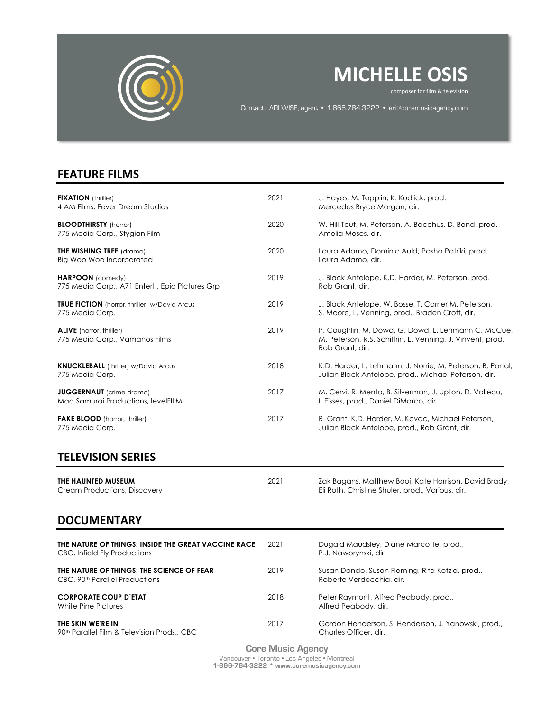

## **MICHELLE OSIS**

composer for film & television<br>composer for film & television

Contact: ARI WISE, agent • 1.866.784.3222 • ari@thecca.ca Contact: ARI WISE, agent • 1.866.784.3222 • ari@coremusicagency.com

## **FEATURE FILMS**

| <b>FIXATION</b> (thriller)<br>4 AM Films, Fever Dream Studios                       | 2021 | J. Hayes, M. Topplin, K. Kudlick, prod.<br>Mercedes Bryce Morgan, dir.                                                               |
|-------------------------------------------------------------------------------------|------|--------------------------------------------------------------------------------------------------------------------------------------|
| <b>BLOODTHIRSTY</b> (horror)<br>775 Media Corp., Stygian Film                       | 2020 | W. Hill-Tout, M. Peterson, A. Bacchus, D. Bond, prod.<br>Amelia Moses, dir.                                                          |
| <b>THE WISHING TREE</b> (drama)<br>Big Woo Woo Incorporated                         | 2020 | Laura Adamo, Dominic Auld, Pasha Patriki, prod.<br>Laura Adamo, dir.                                                                 |
| <b>HARPOON</b> (comedy)<br>775 Media Corp., A71 Entert., Epic Pictures Grp          | 2019 | J. Black Antelope, K.D. Harder, M. Peterson, prod.<br>Rob Grant, dir.                                                                |
| <b>TRUE FICTION</b> (horror, thriller) w/David Arcus<br>775 Media Corp.             | 2019 | J. Black Antelope, W. Bosse, T. Carrier M. Peterson,<br>S. Moore, L. Venning, prod., Braden Croft, dir.                              |
| <b>ALIVE</b> (horror, thriller)<br>775 Media Corp., Vamanos Films                   | 2019 | P. Coughlin, M. Dowd, G. Dowd, L. Lehmann C. McCue,<br>M. Peterson, R.S. Schiffrin, L. Venning, J. Vinvent, prod.<br>Rob Grant, dir. |
| <b>KNUCKLEBALL</b> (thriller) w/David Arcus<br>775 Media Corp.                      | 2018 | K.D. Harder, L. Lehmann, J. Norrie, M. Peterson, B. Portal,<br>Julian Black Antelope, prod., Michael Peterson, dir.                  |
| <b>JUGGERNAUT</b> (crime drama)<br>Mad Samurai Productions, levelFILM               | 2017 | M, Cervi, R. Mento, B. Silverman, J. Upton, D. Valleau,<br>I. Eisses, prod., Daniel DiMarco, dir.                                    |
| <b>FAKE BLOOD</b> (horror, thriller)<br>775 Media Corp.                             | 2017 | R. Grant, K.D. Harder, M. Kovac, Michael Peterson,<br>Julian Black Antelope, prod., Rob Grant, dir.                                  |
| <b>TELEVISION SERIES</b>                                                            |      |                                                                                                                                      |
| THE HAUNTED MUSEUM<br>Cream Productions, Discovery                                  | 2021 | Zak Bagans, Matthew Booi, Kate Harrison, David Brady,<br>Eli Roth, Christine Shuler, prod., Various, dir.                            |
| <b>DOCUMENTARY</b>                                                                  |      |                                                                                                                                      |
| THE NATURE OF THINGS: INSIDE THE GREAT VACCINE RACE<br>CBC, Infield Fly Productions | 2021 | Dugald Maudsley, Diane Marcotte, prod.,<br>P.J. Naworynski, dir.                                                                     |
| THE NATURE OF THINGS: THE SCIENCE OF FEAR                                           | 2019 | Susan Dando, Susan Fleming, Rita Kotzia, prod.,                                                                                      |

CBC, 90th Parallel Productions Roberto Verdecchia, dir.

**CORPORATE COUP D'ETAT** 2018 Peter Raymont, Alfred Peabody, prod., White Pine Pictures<br>
White Pine Pictures

**THE SKIN WE'RE IN** 2017 Gordon Henderson, S. Henderson, J. Yanowski, prod.,<br>Po<sup>th</sup> Parallel Film & Television Prods., CBC Charles Officer, dir. 90th Parallel Film & Television Prods., CBC

> **Core Music Agency** Vancouver • Toronto • Los Angeles • Montreal **1-866-784-3222 \* www.coremusicagency.com**

Alfred Peabody, dir.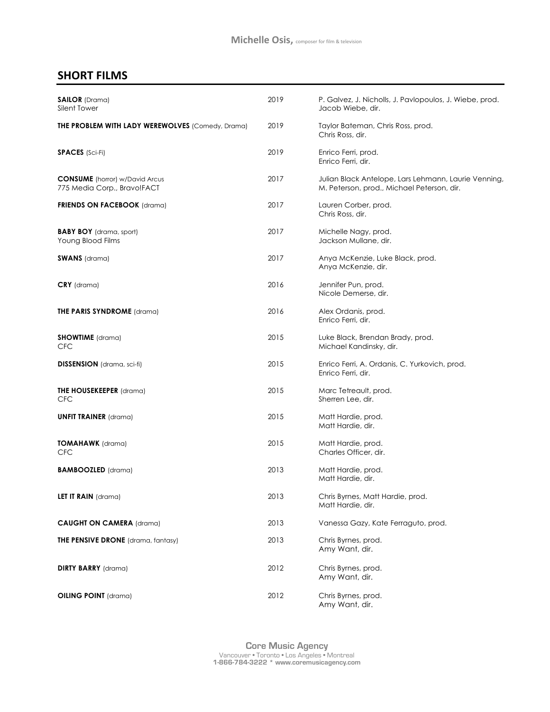## **SHORT FILMS**

| <b>SAILOR</b> (Drama)<br>Silent Tower                                | 2019 | P. Galvez, J. Nicholls, J. Pavlopoulos, J. Wiebe, prod.<br>Jacob Wiebe, dir.                       |
|----------------------------------------------------------------------|------|----------------------------------------------------------------------------------------------------|
| <b>THE PROBLEM WITH LADY WEREWOLVES</b> (Comedy, Drama)              | 2019 | Taylor Bateman, Chris Ross, prod.<br>Chris Ross, dir.                                              |
| <b>SPACES</b> (Sci-Fi)                                               | 2019 | Enrico Ferri, prod.<br>Enrico Ferri, dir.                                                          |
| <b>CONSUME</b> (horror) w/David Arcus<br>775 Media Corp., Bravo!FACT | 2017 | Julian Black Antelope, Lars Lehmann, Laurie Venning,<br>M. Peterson, prod., Michael Peterson, dir. |
| <b>FRIENDS ON FACEBOOK (drama)</b>                                   | 2017 | Lauren Corber, prod.<br>Chris Ross, dir.                                                           |
| <b>BABY BOY</b> (drama, sport)<br>Young Blood Films                  | 2017 | Michelle Nagy, prod.<br>Jackson Mullane, dir.                                                      |
| <b>SWANS</b> (drama)                                                 | 2017 | Anya McKenzie, Luke Black, prod.<br>Anya McKenzie, dir.                                            |
| $CRY$ (drama)                                                        | 2016 | Jennifer Pun, prod.<br>Nicole Demerse, dir.                                                        |
| <b>THE PARIS SYNDROME</b> (drama)                                    | 2016 | Alex Ordanis, prod.<br>Enrico Ferri, dir.                                                          |
| <b>SHOWTIME</b> (drama)<br><b>CFC</b>                                | 2015 | Luke Black, Brendan Brady, prod.<br>Michael Kandinsky, dir.                                        |
| <b>DISSENSION</b> (drama, sci-fi)                                    | 2015 | Enrico Ferri, A. Ordanis, C. Yurkovich, prod.<br>Enrico Ferri, dir.                                |
| <b>THE HOUSEKEEPER</b> (drama)<br><b>CFC</b>                         | 2015 | Marc Tetreault, prod.<br>Sherren Lee, dir.                                                         |
| <b>UNFIT TRAINER</b> (drama)                                         | 2015 | Matt Hardie, prod.<br>Matt Hardie, dir.                                                            |
| <b>TOMAHAWK</b> (drama)<br><b>CFC</b>                                | 2015 | Matt Hardie, prod.<br>Charles Officer, dir.                                                        |
| <b>BAMBOOZLED</b> (drama)                                            | 2013 | Matt Hardie, prod.<br>Matt Hardie, dir.                                                            |
| <b>LET IT RAIN</b> (drama)                                           | 2013 | Chris Byrnes, Matt Hardie, prod.<br>Matt Hardie, dir.                                              |
| <b>CAUGHT ON CAMERA (drama)</b>                                      | 2013 | Vanessa Gazy, Kate Ferraguto, prod.                                                                |
| <b>THE PENSIVE DRONE</b> (drama, fantasy)                            | 2013 | Chris Byrnes, prod.<br>Amy Want, dir.                                                              |
| <b>DIRTY BARRY</b> (drama)                                           | 2012 | Chris Byrnes, prod.<br>Amy Want, dir.                                                              |
| <b>OILING POINT</b> (drama)                                          | 2012 | Chris Byrnes, prod.<br>Amy Want, dir.                                                              |